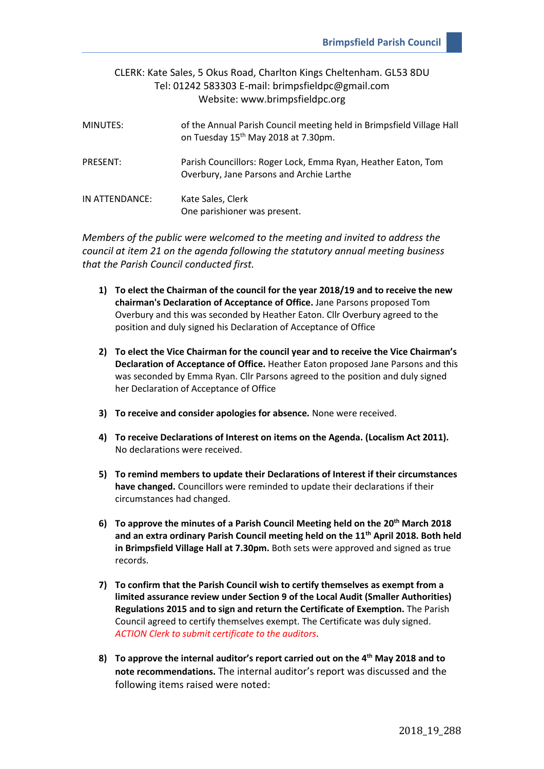| MINUTES:        | of the Annual Parish Council meeting held in Brimpsfield Village Hall<br>on Tuesday 15 <sup>th</sup> May 2018 at 7.30pm. |
|-----------------|--------------------------------------------------------------------------------------------------------------------------|
| <b>PRESENT:</b> | Parish Councillors: Roger Lock, Emma Ryan, Heather Eaton, Tom<br>Overbury, Jane Parsons and Archie Larthe                |
| IN ATTENDANCE:  | Kate Sales, Clerk<br>One parishioner was present.                                                                        |

*Members of the public were welcomed to the meeting and invited to address the council at item 21 on the agenda following the statutory annual meeting business that the Parish Council conducted first.*

- **1) To elect the Chairman of the council for the year 2018/19 and to receive the new chairman's Declaration of Acceptance of Office.** Jane Parsons proposed Tom Overbury and this was seconded by Heather Eaton. Cllr Overbury agreed to the position and duly signed his Declaration of Acceptance of Office
- **2) To elect the Vice Chairman for the council year and to receive the Vice Chairman's Declaration of Acceptance of Office.** Heather Eaton proposed Jane Parsons and this was seconded by Emma Ryan. Cllr Parsons agreed to the position and duly signed her Declaration of Acceptance of Office
- **3) To receive and consider apologies for absence.** None were received.
- **4) To receive Declarations of Interest on items on the Agenda. (Localism Act 2011).** No declarations were received.
- **5) To remind members to update their Declarations of Interest if their circumstances have changed.** Councillors were reminded to update their declarations if their circumstances had changed.
- **6) To approve the minutes of a Parish Council Meeting held on the 20th March 2018 and an extra ordinary Parish Council meeting held on the 11th April 2018. Both held in Brimpsfield Village Hall at 7.30pm.** Both sets were approved and signed as true records.
- **7) To confirm that the Parish Council wish to certify themselves as exempt from a limited assurance review under Section 9 of the Local Audit (Smaller Authorities) Regulations 2015 and to sign and return the Certificate of Exemption.** The Parish Council agreed to certify themselves exempt. The Certificate was duly signed. *ACTION Clerk to submit certificate to the auditors*.
- **8) To approve the internal auditor's report carried out on the 4th May 2018 and to note recommendations.** The internal auditor's report was discussed and the following items raised were noted: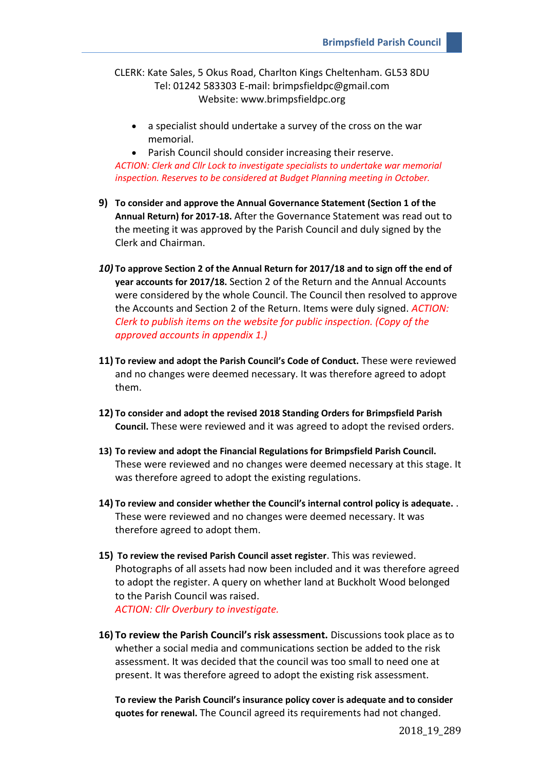• a specialist should undertake a survey of the cross on the war memorial.

• Parish Council should consider increasing their reserve. *ACTION: Clerk and Cllr Lock to investigate specialists to undertake war memorial inspection. Reserves to be considered at Budget Planning meeting in October.*

- **9) To consider and approve the Annual Governance Statement (Section 1 of the Annual Return) for 2017-18.** After the Governance Statement was read out to the meeting it was approved by the Parish Council and duly signed by the Clerk and Chairman.
- *10)* **To approve Section 2 of the Annual Return for 2017/18 and to sign off the end of year accounts for 2017/18.** Section 2 of the Return and the Annual Accounts were considered by the whole Council. The Council then resolved to approve the Accounts and Section 2 of the Return. Items were duly signed. *ACTION: Clerk to publish items on the website for public inspection. (Copy of the approved accounts in appendix 1.)*
- **11) To review and adopt the Parish Council's Code of Conduct.** These were reviewed and no changes were deemed necessary. It was therefore agreed to adopt them.
- **12) To consider and adopt the revised 2018 Standing Orders for Brimpsfield Parish Council.** These were reviewed and it was agreed to adopt the revised orders.
- **13) To review and adopt the Financial Regulations for Brimpsfield Parish Council.** These were reviewed and no changes were deemed necessary at this stage. It was therefore agreed to adopt the existing regulations.
- **14) To review and consider whether the Council's internal control policy is adequate.** . These were reviewed and no changes were deemed necessary. It was therefore agreed to adopt them.
- **15) To review the revised Parish Council asset register**. This was reviewed. Photographs of all assets had now been included and it was therefore agreed to adopt the register. A query on whether land at Buckholt Wood belonged to the Parish Council was raised. *ACTION: Cllr Overbury to investigate.*
- **16) To review the Parish Council's risk assessment.** Discussions took place as to whether a social media and communications section be added to the risk assessment. It was decided that the council was too small to need one at present. It was therefore agreed to adopt the existing risk assessment.

**To review the Parish Council's insurance policy cover is adequate and to consider quotes for renewal.** The Council agreed its requirements had not changed.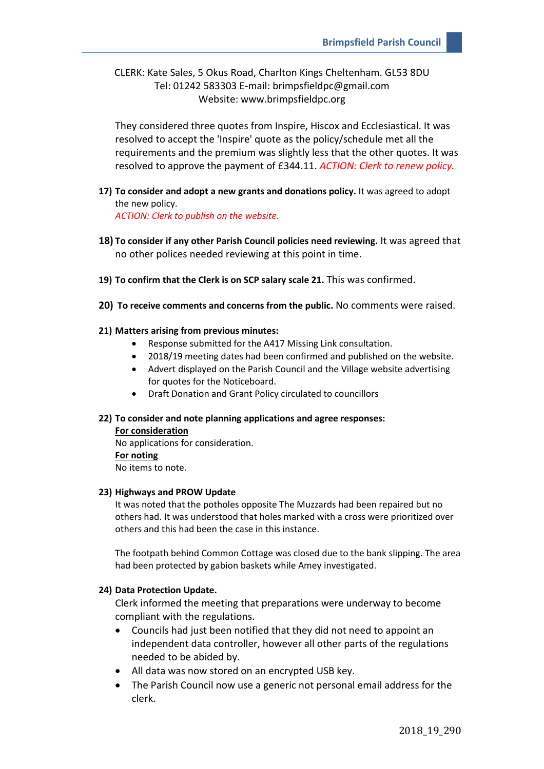They considered three quotes from Inspire, Hiscox and Ecclesiastical. It was resolved to accept the 'Inspire' quote as the policy/schedule met all the requirements and the premium was slightly less that the other quotes. It was resolved to approve the payment of £344.11. *ACTION: Clerk to renew policy.*

**17) To consider and adopt a new grants and donations policy.** It was agreed to adopt the new policy.

*ACTION: Clerk to publish on the website.*

- **18) To consider if any other Parish Council policies need reviewing.** It was agreed that no other polices needed reviewing at this point in time.
- **19) To confirm that the Clerk is on SCP salary scale 21.** This was confirmed.
- **20) To receive comments and concerns from the public.** No comments were raised.
- **21) Matters arising from previous minutes:**
	- Response submitted for the A417 Missing Link consultation.
	- 2018/19 meeting dates had been confirmed and published on the website.
	- Advert displayed on the Parish Council and the Village website advertising for quotes for the Noticeboard.
	- Draft Donation and Grant Policy circulated to councillors

#### **22) To consider and note planning applications and agree responses:**

**For consideration** No applications for consideration. **For noting** No items to note.

#### **23) Highways and PROW Update**

It was noted that the potholes opposite The Muzzards had been repaired but no others had. It was understood that holes marked with a cross were prioritized over others and this had been the case in this instance.

The footpath behind Common Cottage was closed due to the bank slipping. The area had been protected by gabion baskets while Amey investigated.

#### **24) Data Protection Update.**

Clerk informed the meeting that preparations were underway to become compliant with the regulations.

- Councils had just been notified that they did not need to appoint an independent data controller, however all other parts of the regulations needed to be abided by.
- All data was now stored on an encrypted USB key.
- The Parish Council now use a generic not personal email address for the clerk.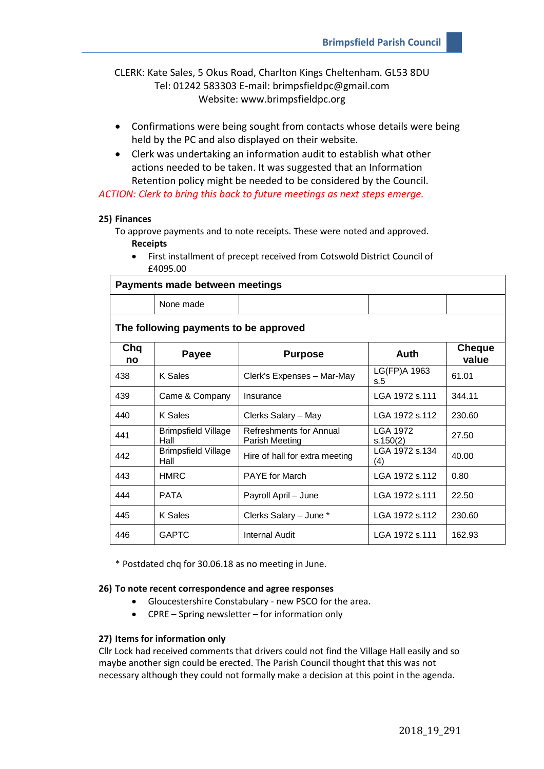- Confirmations were being sought from contacts whose details were being held by the PC and also displayed on their website.
- Clerk was undertaking an information audit to establish what other actions needed to be taken. It was suggested that an Information Retention policy might be needed to be considered by the Council.

*ACTION: Clerk to bring this back to future meetings as next steps emerge.*

#### **25) Finances**

To approve payments and to note receipts. These were noted and approved. **Receipts**

• First installment of precept received from Cotswold District Council of £4095.00

| Payments made between meetings        |                                    |                                           |                       |                        |  |  |  |  |
|---------------------------------------|------------------------------------|-------------------------------------------|-----------------------|------------------------|--|--|--|--|
|                                       | None made                          |                                           |                       |                        |  |  |  |  |
| The following payments to be approved |                                    |                                           |                       |                        |  |  |  |  |
| Chq<br>no                             | <b>Payee</b><br><b>Purpose</b>     |                                           | Auth                  | <b>Cheque</b><br>value |  |  |  |  |
| 438                                   | K Sales                            | Clerk's Expenses - Mar-May                | LG(FP)A 1963<br>s.5   | 61.01                  |  |  |  |  |
| 439                                   | Came & Company                     | Insurance                                 | LGA 1972 s.111        | 344.11                 |  |  |  |  |
| 440                                   | K Sales                            | Clerks Salary - May                       | LGA 1972 s.112        | 230.60                 |  |  |  |  |
| 441                                   | <b>Brimpsfield Village</b><br>Hall | Refreshments for Annual<br>Parish Meeting | LGA 1972<br>s.150(2)  | 27.50                  |  |  |  |  |
| 442                                   | <b>Brimpsfield Village</b><br>Hall | Hire of hall for extra meeting            | LGA 1972 s 134<br>(4) | 40.00                  |  |  |  |  |
| 443                                   | <b>HMRC</b>                        | <b>PAYE</b> for March                     | LGA 1972 s.112        | 0.80                   |  |  |  |  |
| 444                                   | <b>PATA</b>                        | Payroll April - June                      | LGA 1972 s.111        | 22.50                  |  |  |  |  |
| 445                                   | K Sales                            | Clerks Salary - June *                    | LGA 1972 s.112        | 230.60                 |  |  |  |  |
| 446                                   | <b>GAPTC</b>                       | <b>Internal Audit</b>                     | LGA 1972 s.111        | 162.93                 |  |  |  |  |

\* Postdated chq for 30.06.18 as no meeting in June.

#### **26) To note recent correspondence and agree responses**

- Gloucestershire Constabulary new PSCO for the area.
- CPRE Spring newsletter for information only

#### **27) Items for information only**

Cllr Lock had received comments that drivers could not find the Village Hall easily and so maybe another sign could be erected. The Parish Council thought that this was not necessary although they could not formally make a decision at this point in the agenda.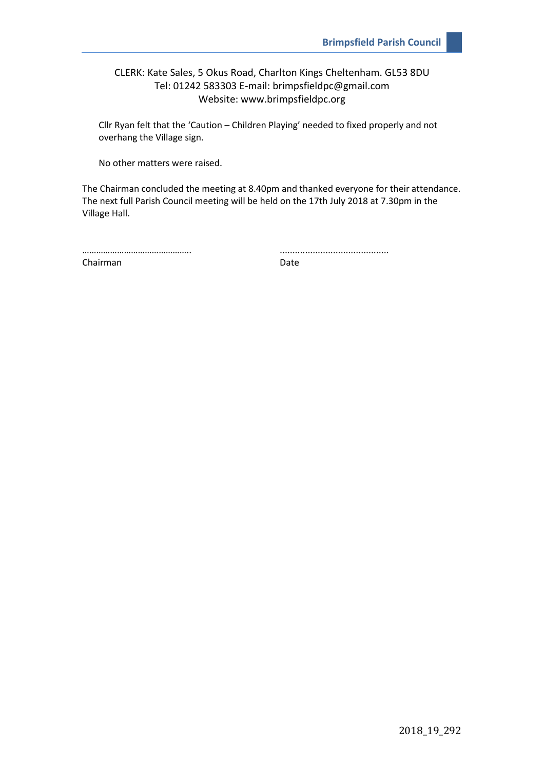Cllr Ryan felt that the 'Caution – Children Playing' needed to fixed properly and not overhang the Village sign.

No other matters were raised.

The Chairman concluded the meeting at 8.40pm and thanked everyone for their attendance. The next full Parish Council meeting will be held on the 17th July 2018 at 7.30pm in the Village Hall.

……………………………………….. ...........................................

Chairman Date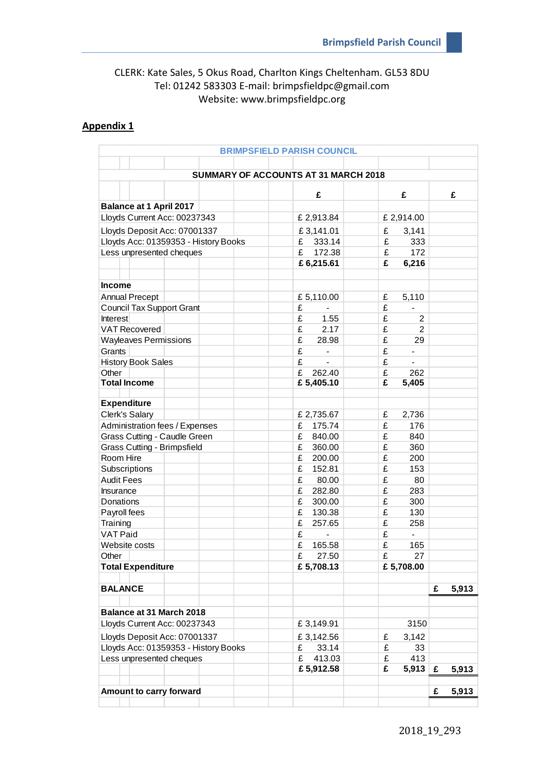## **Appendix 1**

|                                      | <b>BRIMPSFIELD PARISH COUNCIL</b> |                               |            |
|--------------------------------------|-----------------------------------|-------------------------------|------------|
|                                      |                                   |                               |            |
| SUMMARY OF ACCOUNTS AT 31 MARCH 2018 |                                   |                               |            |
|                                      |                                   |                               |            |
|                                      | £                                 | £                             | £          |
| <b>Balance at 1 April 2017</b>       |                                   |                               |            |
| Lloyds Current Acc: 00237343         | £ 2,913.84                        | £ 2,914.00                    |            |
| Lloyds Deposit Acc: 07001337         | £3,141.01                         | £<br>3,141                    |            |
| Lloyds Acc: 01359353 - History Books | 333.14<br>£                       | £<br>333                      |            |
| Less unpresented cheques             | £<br>172.38                       | £<br>172                      |            |
|                                      | £6,215.61                         | £<br>6,216                    |            |
|                                      |                                   |                               |            |
| <b>Income</b>                        |                                   |                               |            |
| <b>Annual Precept</b>                | £5,110.00                         | £<br>5,110                    |            |
| <b>Council Tax Support Grant</b>     | £                                 | £<br>$\blacksquare$           |            |
| <b>Interest</b>                      | £<br>1.55<br>£                    | £<br>2<br>£                   |            |
| <b>VAT Recovered</b>                 | 2.17<br>£                         | $\overline{2}$<br>£           |            |
| <b>Wayleaves Permissions</b>         | 28.98<br>£                        | 29<br>£                       |            |
| Grants                               | $\overline{\phantom{0}}$<br>£     | $\overline{\phantom{a}}$<br>£ |            |
| <b>History Book Sales</b><br>Other   | £<br>262.40                       | £<br>262                      |            |
| <b>Total Income</b>                  | £ 5,405.10                        | £<br>5,405                    |            |
|                                      |                                   |                               |            |
| <b>Expenditure</b>                   |                                   |                               |            |
| Clerk's Salary                       | £ 2,735.67                        | £<br>2,736                    |            |
| Administration fees / Expenses       | 175.74<br>£                       | £<br>176                      |            |
| Grass Cutting - Caudle Green         | £<br>840.00                       | £<br>840                      |            |
| Grass Cutting - Brimpsfield          | £<br>360.00                       | £<br>360                      |            |
| Room Hire                            | £<br>200.00                       | £<br>200                      |            |
| Subscriptions                        | £<br>152.81                       | £<br>153                      |            |
| <b>Audit Fees</b>                    | £<br>80.00                        | £<br>80                       |            |
| Insurance                            | £<br>282.80                       | £<br>283                      |            |
| Donations                            | £<br>300.00                       | £<br>300                      |            |
| Payroll fees                         | £<br>130.38                       | £<br>130                      |            |
| Training                             | £<br>257.65                       | £<br>258                      |            |
| <b>VAT Paid</b>                      | £                                 | £<br>$\blacksquare$           |            |
| Website costs                        | £<br>165.58                       | £<br>165                      |            |
| Other                                | £<br>27.50                        | £<br>27                       |            |
| <b>Total Expenditure</b>             | £5,708.13                         | £5,708.00                     |            |
|                                      |                                   |                               |            |
| <b>BALANCE</b>                       |                                   |                               | 5,913<br>£ |
|                                      |                                   |                               |            |
| Balance at 31 March 2018             |                                   |                               |            |
| Lloyds Current Acc: 00237343         | £3,149.91                         | 3150                          |            |
| Lloyds Deposit Acc: 07001337         | £3,142.56                         | £<br>3,142                    |            |
| Lloyds Acc: 01359353 - History Books | 33.14<br>£                        | £<br>33                       |            |
| Less unpresented cheques             | £<br>413.03                       | 413<br>£                      |            |
|                                      | £5,912.58                         | £<br>5,913                    | £<br>5,913 |
| Amount to carry forward              |                                   |                               | 5,913<br>£ |
|                                      |                                   |                               |            |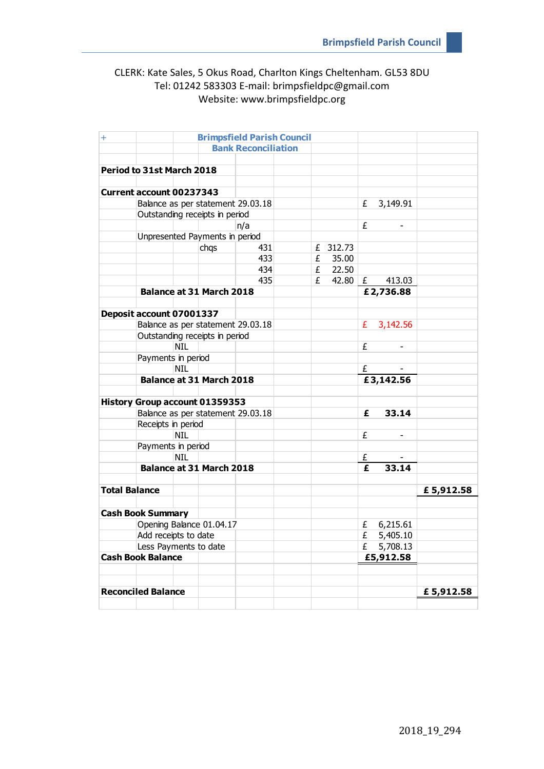| $\ddot{}$                                         | <b>Brimpsfield Parish Council</b> |                            |                                       |                                   |   |          |          |   |           |           |
|---------------------------------------------------|-----------------------------------|----------------------------|---------------------------------------|-----------------------------------|---|----------|----------|---|-----------|-----------|
|                                                   |                                   | <b>Bank Reconciliation</b> |                                       |                                   |   |          |          |   |           |           |
|                                                   |                                   |                            |                                       |                                   |   |          |          |   |           |           |
|                                                   | Period to 31st March 2018         |                            |                                       |                                   |   |          |          |   |           |           |
|                                                   |                                   |                            |                                       |                                   |   |          |          |   |           |           |
|                                                   | <b>Current account 00237343</b>   |                            |                                       |                                   |   |          |          |   |           |           |
|                                                   |                                   |                            |                                       | Balance as per statement 29.03.18 |   |          |          | £ | 3,149.91  |           |
|                                                   |                                   |                            | Outstanding receipts in period        |                                   |   |          |          |   |           |           |
|                                                   |                                   |                            |                                       | n/a                               |   |          |          | £ |           |           |
|                                                   |                                   |                            | Unpresented Payments in period        |                                   |   |          |          |   |           |           |
|                                                   |                                   |                            | chqs                                  | 431                               |   |          | £ 312.73 |   |           |           |
|                                                   |                                   |                            |                                       | 433                               |   | £        | 35.00    |   |           |           |
|                                                   |                                   |                            |                                       | 434                               |   | £        | 22.50    |   |           |           |
|                                                   |                                   |                            |                                       | 435                               |   | £        | 42.80    | £ | 413.03    |           |
|                                                   |                                   |                            | Balance at 31 March 2018              |                                   |   |          |          |   | £2,736.88 |           |
|                                                   | Deposit account 07001337          |                            |                                       |                                   |   |          |          |   |           |           |
|                                                   |                                   |                            |                                       | Balance as per statement 29.03.18 |   |          |          | £ | 3,142.56  |           |
|                                                   |                                   |                            | Outstanding receipts in period        |                                   |   |          |          |   |           |           |
|                                                   |                                   | <b>NIL</b>                 |                                       |                                   |   |          |          | £ |           |           |
|                                                   | Payments in period                |                            |                                       |                                   |   |          |          |   |           |           |
|                                                   |                                   | <b>NIL</b>                 |                                       |                                   |   |          |          | £ |           |           |
|                                                   |                                   |                            | Balance at 31 March 2018              |                                   |   |          |          |   | £3,142.56 |           |
|                                                   |                                   |                            |                                       |                                   |   |          |          |   |           |           |
|                                                   |                                   |                            | <b>History Group account 01359353</b> |                                   |   |          |          |   |           |           |
|                                                   |                                   |                            |                                       | Balance as per statement 29.03.18 |   |          |          | £ | 33.14     |           |
|                                                   | Receipts in period                |                            |                                       |                                   |   |          |          |   |           |           |
|                                                   |                                   | <b>NIL</b>                 |                                       |                                   |   |          |          | £ |           |           |
|                                                   | Payments in period                |                            |                                       |                                   |   |          |          |   |           |           |
|                                                   |                                   | <b>NIL</b>                 |                                       |                                   |   |          |          | £ |           |           |
|                                                   |                                   |                            | <b>Balance at 31 March 2018</b>       |                                   |   |          |          | £ | 33.14     |           |
|                                                   |                                   |                            |                                       |                                   |   |          |          |   |           |           |
| <b>Total Balance</b>                              |                                   |                            |                                       |                                   |   |          |          |   |           | £5,912.58 |
|                                                   |                                   |                            |                                       |                                   |   |          |          |   |           |           |
|                                                   | <b>Cash Book Summary</b>          |                            |                                       |                                   |   |          |          |   |           |           |
|                                                   |                                   |                            | Opening Balance 01.04.17              |                                   |   |          |          | £ | 6,215.61  |           |
|                                                   | Add receipts to date              |                            |                                       |                                   |   |          |          | £ | 5,405.10  |           |
| Less Payments to date<br><b>Cash Book Balance</b> |                                   |                            |                                       |                                   | £ | 5,708.13 |          |   |           |           |
|                                                   |                                   |                            |                                       |                                   |   |          |          |   | £5,912.58 |           |
|                                                   |                                   |                            |                                       |                                   |   |          |          |   |           |           |
|                                                   |                                   |                            |                                       |                                   |   |          |          |   |           |           |
|                                                   | <b>Reconciled Balance</b>         |                            |                                       |                                   |   |          |          |   |           | £5,912.58 |
|                                                   |                                   |                            |                                       |                                   |   |          |          |   |           |           |